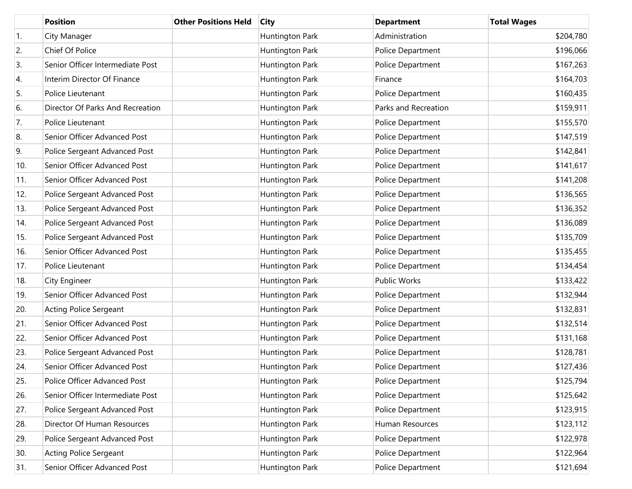|                  | <b>Position</b>                  | <b>Other Positions Held</b> | <b>City</b>     | <b>Department</b>    | <b>Total Wages</b> |
|------------------|----------------------------------|-----------------------------|-----------------|----------------------|--------------------|
| $\overline{1}$ . | City Manager                     |                             | Huntington Park | Administration       | \$204,780          |
| 2.               | Chief Of Police                  |                             | Huntington Park | Police Department    | \$196,066          |
| 3.               | Senior Officer Intermediate Post |                             | Huntington Park | Police Department    | \$167,263          |
| 4.               | Interim Director Of Finance      |                             | Huntington Park | Finance              | \$164,703          |
| 5.               | Police Lieutenant                |                             | Huntington Park | Police Department    | \$160,435          |
| 6.               | Director Of Parks And Recreation |                             | Huntington Park | Parks and Recreation | \$159,911          |
| 7.               | Police Lieutenant                |                             | Huntington Park | Police Department    | \$155,570          |
| 8.               | Senior Officer Advanced Post     |                             | Huntington Park | Police Department    | \$147,519          |
| 9.               | Police Sergeant Advanced Post    |                             | Huntington Park | Police Department    | \$142,841          |
| 10.              | Senior Officer Advanced Post     |                             | Huntington Park | Police Department    | \$141,617          |
| 11.              | Senior Officer Advanced Post     |                             | Huntington Park | Police Department    | \$141,208          |
| 12.              | Police Sergeant Advanced Post    |                             | Huntington Park | Police Department    | \$136,565          |
| 13.              | Police Sergeant Advanced Post    |                             | Huntington Park | Police Department    | \$136,352          |
| 14.              | Police Sergeant Advanced Post    |                             | Huntington Park | Police Department    | \$136,089          |
| 15.              | Police Sergeant Advanced Post    |                             | Huntington Park | Police Department    | \$135,709          |
| 16.              | Senior Officer Advanced Post     |                             | Huntington Park | Police Department    | \$135,455          |
| 17.              | Police Lieutenant                |                             | Huntington Park | Police Department    | \$134,454          |
| 18.              | City Engineer                    |                             | Huntington Park | Public Works         | \$133,422          |
| 19.              | Senior Officer Advanced Post     |                             | Huntington Park | Police Department    | \$132,944          |
| 20.              | <b>Acting Police Sergeant</b>    |                             | Huntington Park | Police Department    | \$132,831          |
| 21.              | Senior Officer Advanced Post     |                             | Huntington Park | Police Department    | \$132,514          |
| 22.              | Senior Officer Advanced Post     |                             | Huntington Park | Police Department    | \$131,168          |
| 23.              | Police Sergeant Advanced Post    |                             | Huntington Park | Police Department    | \$128,781          |
| 24.              | Senior Officer Advanced Post     |                             | Huntington Park | Police Department    | \$127,436          |
| 25.              | Police Officer Advanced Post     |                             | Huntington Park | Police Department    | \$125,794          |
| 26.              | Senior Officer Intermediate Post |                             | Huntington Park | Police Department    | \$125,642          |
| 27.              | Police Sergeant Advanced Post    |                             | Huntington Park | Police Department    | \$123,915          |
| 28.              | Director Of Human Resources      |                             | Huntington Park | Human Resources      | \$123,112          |
| 29.              | Police Sergeant Advanced Post    |                             | Huntington Park | Police Department    | \$122,978          |
| 30.              | <b>Acting Police Sergeant</b>    |                             | Huntington Park | Police Department    | \$122,964          |
| 31.              | Senior Officer Advanced Post     |                             | Huntington Park | Police Department    | \$121,694          |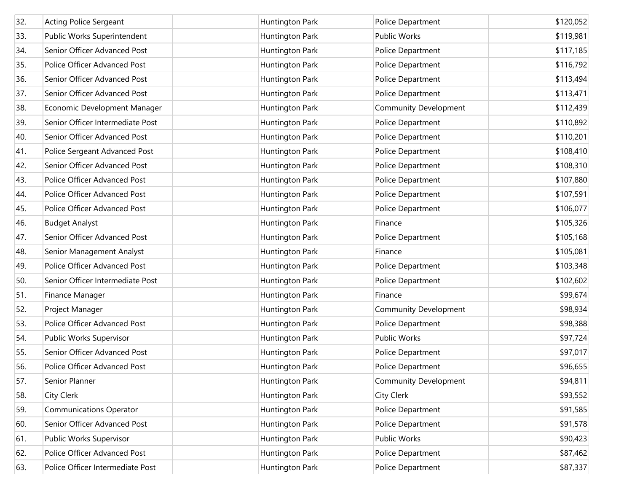| 32. | <b>Acting Police Sergeant</b>    | Huntington Park        | Police Department            | \$120,052 |
|-----|----------------------------------|------------------------|------------------------------|-----------|
| 33. | Public Works Superintendent      | Huntington Park        | <b>Public Works</b>          | \$119,981 |
| 34. | Senior Officer Advanced Post     | Huntington Park        | Police Department            | \$117,185 |
| 35. | Police Officer Advanced Post     | Huntington Park        | Police Department            | \$116,792 |
| 36. | Senior Officer Advanced Post     | Huntington Park        | Police Department            | \$113,494 |
| 37. | Senior Officer Advanced Post     | Huntington Park        | Police Department            | \$113,471 |
| 38. | Economic Development Manager     | Huntington Park        | <b>Community Development</b> | \$112,439 |
| 39. | Senior Officer Intermediate Post | Huntington Park        | Police Department            | \$110,892 |
| 40. | Senior Officer Advanced Post     | Huntington Park        | Police Department            | \$110,201 |
| 41. | Police Sergeant Advanced Post    | Huntington Park        | Police Department            | \$108,410 |
| 42. | Senior Officer Advanced Post     | Huntington Park        | Police Department            | \$108,310 |
| 43. | Police Officer Advanced Post     | Huntington Park        | Police Department            | \$107,880 |
| 44. | Police Officer Advanced Post     | Huntington Park        | Police Department            | \$107,591 |
| 45. | Police Officer Advanced Post     | Huntington Park        | Police Department            | \$106,077 |
| 46. | <b>Budget Analyst</b>            | Huntington Park        | Finance                      | \$105,326 |
| 47. | Senior Officer Advanced Post     | Huntington Park        | Police Department            | \$105,168 |
| 48. | Senior Management Analyst        | Huntington Park        | Finance                      | \$105,081 |
| 49. | Police Officer Advanced Post     | Huntington Park        | Police Department            | \$103,348 |
| 50. | Senior Officer Intermediate Post | Huntington Park        | Police Department            | \$102,602 |
| 51. | Finance Manager                  | Huntington Park        | Finance                      | \$99,674  |
| 52. | Project Manager                  | Huntington Park        | <b>Community Development</b> | \$98,934  |
| 53. | Police Officer Advanced Post     | Huntington Park        | Police Department            | \$98,388  |
| 54. | Public Works Supervisor          | Huntington Park        | <b>Public Works</b>          | \$97,724  |
| 55. | Senior Officer Advanced Post     | <b>Huntington Park</b> | Police Department            | \$97,017  |
| 56. | Police Officer Advanced Post     | Huntington Park        | Police Department            | \$96,655  |
| 57. | Senior Planner                   | Huntington Park        | <b>Community Development</b> | \$94,811  |
| 58. | City Clerk                       | Huntington Park        | City Clerk                   | \$93,552  |
| 59. | <b>Communications Operator</b>   | Huntington Park        | Police Department            | \$91,585  |
| 60. | Senior Officer Advanced Post     | Huntington Park        | Police Department            | \$91,578  |
| 61. | Public Works Supervisor          | Huntington Park        | <b>Public Works</b>          | \$90,423  |
| 62. | Police Officer Advanced Post     | Huntington Park        | Police Department            | \$87,462  |
| 63. | Police Officer Intermediate Post | Huntington Park        | Police Department            | \$87,337  |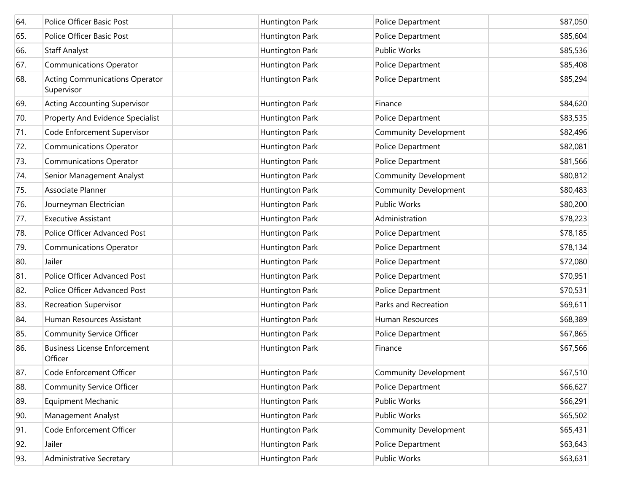| 64. | <b>Police Officer Basic Post</b>                    | Huntington Park        | Police Department            | \$87,050 |
|-----|-----------------------------------------------------|------------------------|------------------------------|----------|
| 65. | Police Officer Basic Post                           | Huntington Park        | Police Department            | \$85,604 |
| 66. | <b>Staff Analyst</b>                                | Huntington Park        | Public Works                 | \$85,536 |
| 67. | <b>Communications Operator</b>                      | Huntington Park        | Police Department            | \$85,408 |
| 68. | <b>Acting Communications Operator</b><br>Supervisor | Huntington Park        | Police Department            | \$85,294 |
| 69. | <b>Acting Accounting Supervisor</b>                 | Huntington Park        | Finance                      | \$84,620 |
| 70. | Property And Evidence Specialist                    | <b>Huntington Park</b> | Police Department            | \$83,535 |
| 71. | Code Enforcement Supervisor                         | Huntington Park        | <b>Community Development</b> | \$82,496 |
| 72. | <b>Communications Operator</b>                      | Huntington Park        | Police Department            | \$82,081 |
| 73. | <b>Communications Operator</b>                      | Huntington Park        | Police Department            | \$81,566 |
| 74. | Senior Management Analyst                           | Huntington Park        | <b>Community Development</b> | \$80,812 |
| 75. | Associate Planner                                   | Huntington Park        | <b>Community Development</b> | \$80,483 |
| 76. | Journeyman Electrician                              | Huntington Park        | Public Works                 | \$80,200 |
| 77. | <b>Executive Assistant</b>                          | Huntington Park        | Administration               | \$78,223 |
| 78. | Police Officer Advanced Post                        | Huntington Park        | Police Department            | \$78,185 |
| 79. | <b>Communications Operator</b>                      | Huntington Park        | Police Department            | \$78,134 |
| 80. | Jailer                                              | Huntington Park        | Police Department            | \$72,080 |
| 81. | Police Officer Advanced Post                        | Huntington Park        | Police Department            | \$70,951 |
| 82. | Police Officer Advanced Post                        | Huntington Park        | Police Department            | \$70,531 |
| 83. | <b>Recreation Supervisor</b>                        | Huntington Park        | Parks and Recreation         | \$69,611 |
| 84. | Human Resources Assistant                           | Huntington Park        | Human Resources              | \$68,389 |
| 85. | <b>Community Service Officer</b>                    | Huntington Park        | Police Department            | \$67,865 |
| 86. | <b>Business License Enforcement</b><br>Officer      | <b>Huntington Park</b> | Finance                      | \$67,566 |
| 87. | Code Enforcement Officer                            | Huntington Park        | <b>Community Development</b> | \$67,510 |
| 88. | <b>Community Service Officer</b>                    | Huntington Park        | Police Department            | \$66,627 |
| 89. | <b>Equipment Mechanic</b>                           | Huntington Park        | Public Works                 | \$66,291 |
| 90. | Management Analyst                                  | Huntington Park        | Public Works                 | \$65,502 |
| 91. | Code Enforcement Officer                            | Huntington Park        | Community Development        | \$65,431 |
| 92. | Jailer                                              | Huntington Park        | Police Department            | \$63,643 |
| 93. | <b>Administrative Secretary</b>                     | <b>Huntington Park</b> | Public Works                 | \$63,631 |